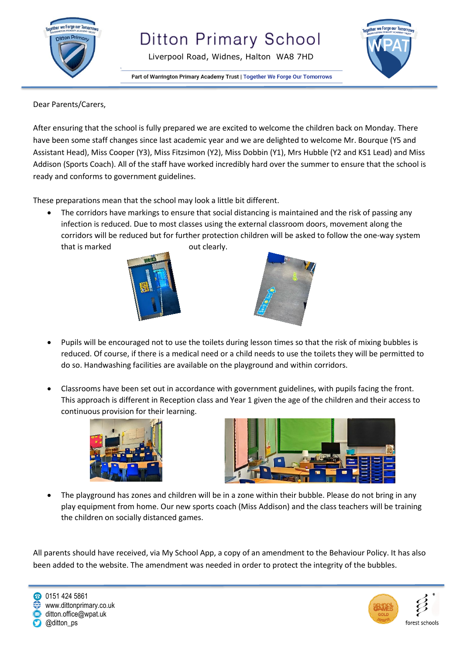

Liverpool Road, Widnes, Halton WA8 7HD



Part of Warrington Primary Academy Trust | Together We Forge Our Tomorrows

Dear Parents/Carers,

After ensuring that the school is fully prepared we are excited to welcome the children back on Monday. There have been some staff changes since last academic year and we are delighted to welcome Mr. Bourque (Y5 and Assistant Head), Miss Cooper (Y3), Miss Fitzsimon (Y2), Miss Dobbin (Y1), Mrs Hubble (Y2 and KS1 Lead) and Miss Addison (Sports Coach). All of the staff have worked incredibly hard over the summer to ensure that the school is ready and conforms to government guidelines.

These preparations mean that the school may look a little bit different.

 The corridors have markings to ensure that social distancing is maintained and the risk of passing any infection is reduced. Due to most classes using the external classroom doors, movement along the corridors will be reduced but for further protection children will be asked to follow the one-way system that is marked out clearly.





- Pupils will be encouraged not to use the toilets during lesson times so that the risk of mixing bubbles is reduced. Of course, if there is a medical need or a child needs to use the toilets they will be permitted to do so. Handwashing facilities are available on the playground and within corridors.
- Classrooms have been set out in accordance with government guidelines, with pupils facing the front. This approach is different in Reception class and Year 1 given the age of the children and their access to continuous provision for their learning.





 The playground has zones and children will be in a zone within their bubble. Please do not bring in any play equipment from home. Our new sports coach (Miss Addison) and the class teachers will be training the children on socially distanced games.

All parents should have received, via My School App, a copy of an amendment to the Behaviour Policy. It has also been added to the website. The amendment was needed in order to protect the integrity of the bubbles.